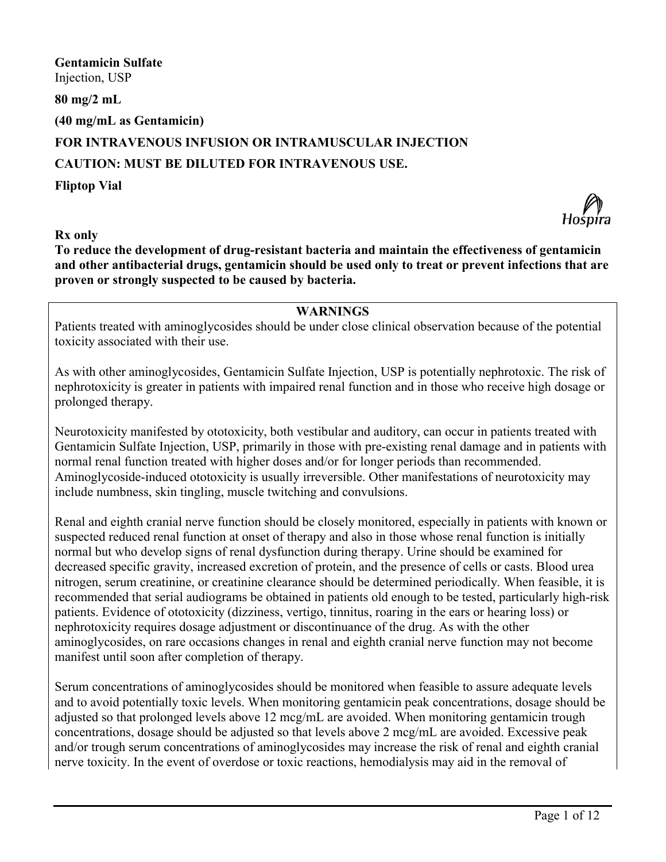**Gentamicin Sulfate** Injection, USP

**80 mg/2 mL**

**(40 mg/mL as Gentamicin)**

# **FOR INTRAVENOUS INFUSION OR INTRAMUSCULAR INJECTION CAUTION: MUST BE DILUTED FOR INTRAVENOUS USE.**

**Fliptop Vial**





**To reduce the development of drug-resistant bacteria and maintain the effectiveness of gentamicin and other antibacterial drugs, gentamicin should be used only to treat or prevent infections that are proven or strongly suspected to be caused by bacteria.**

### **WARNINGS**

Patients treated with aminoglycosides should be under close clinical observation because of the potential toxicity associated with their use.

As with other aminoglycosides, Gentamicin Sulfate Injection, USP is potentially nephrotoxic. The risk of nephrotoxicity is greater in patients with impaired renal function and in those who receive high dosage or prolonged therapy.

Neurotoxicity manifested by ototoxicity, both vestibular and auditory, can occur in patients treated with Gentamicin Sulfate Injection, USP, primarily in those with pre-existing renal damage and in patients with normal renal function treated with higher doses and/or for longer periods than recommended. Aminoglycoside-induced ototoxicity is usually irreversible. Other manifestations of neurotoxicity may include numbness, skin tingling, muscle twitching and convulsions.

Renal and eighth cranial nerve function should be closely monitored, especially in patients with known or suspected reduced renal function at onset of therapy and also in those whose renal function is initially normal but who develop signs of renal dysfunction during therapy. Urine should be examined for decreased specific gravity, increased excretion of protein, and the presence of cells or casts. Blood urea nitrogen, serum creatinine, or creatinine clearance should be determined periodically. When feasible, it is recommended that serial audiograms be obtained in patients old enough to be tested, particularly high-risk patients. Evidence of ototoxicity (dizziness, vertigo, tinnitus, roaring in the ears or hearing loss) or nephrotoxicity requires dosage adjustment or discontinuance of the drug. As with the other aminoglycosides, on rare occasions changes in renal and eighth cranial nerve function may not become manifest until soon after completion of therapy.

Serum concentrations of aminoglycosides should be monitored when feasible to assure adequate levels and to avoid potentially toxic levels. When monitoring gentamicin peak concentrations, dosage should be adjusted so that prolonged levels above 12 mcg/mL are avoided. When monitoring gentamicin trough concentrations, dosage should be adjusted so that levels above 2 mcg/mL are avoided. Excessive peak and/or trough serum concentrations of aminoglycosides may increase the risk of renal and eighth cranial nerve toxicity. In the event of overdose or toxic reactions, hemodialysis may aid in the removal of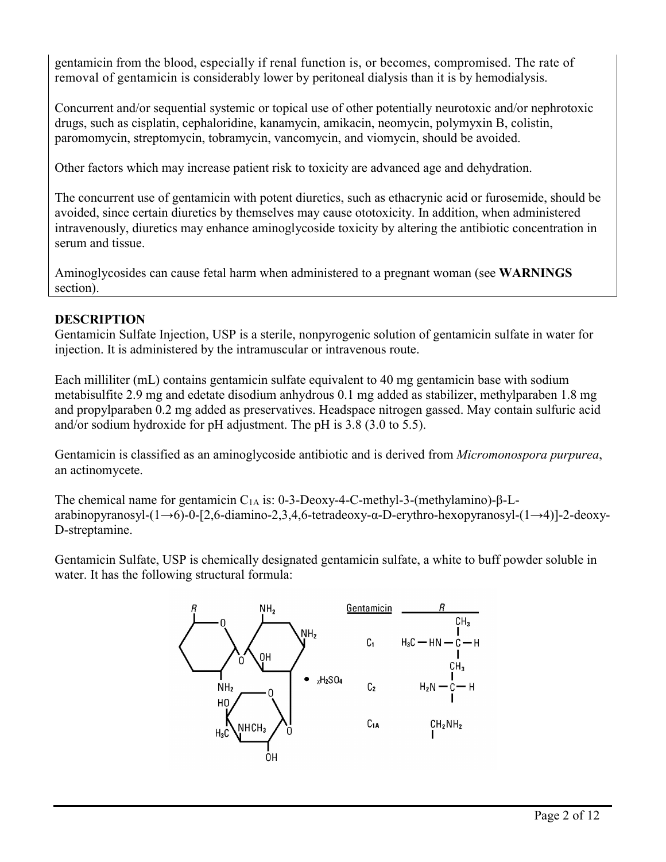gentamicin from the blood, especially if renal function is, or becomes, compromised. The rate of removal of gentamicin is considerably lower by peritoneal dialysis than it is by hemodialysis.

Concurrent and/or sequential systemic or topical use of other potentially neurotoxic and/or nephrotoxic drugs, such as cisplatin, cephaloridine, kanamycin, amikacin, neomycin, polymyxin B, colistin, paromomycin, streptomycin, tobramycin, vancomycin, and viomycin, should be avoided.

Other factors which may increase patient risk to toxicity are advanced age and dehydration.

The concurrent use of gentamicin with potent diuretics, such as ethacrynic acid or furosemide, should be avoided, since certain diuretics by themselves may cause ototoxicity. In addition, when administered intravenously, diuretics may enhance aminoglycoside toxicity by altering the antibiotic concentration in serum and tissue.

Aminoglycosides can cause fetal harm when administered to a pregnant woman (see **WARNINGS** section).

# **DESCRIPTION**

Gentamicin Sulfate Injection, USP is a sterile, nonpyrogenic solution of gentamicin sulfate in water for injection. It is administered by the intramuscular or intravenous route.

Each milliliter (mL) contains gentamicin sulfate equivalent to 40 mg gentamicin base with sodium metabisulfite 2.9 mg and edetate disodium anhydrous 0.1 mg added as stabilizer, methylparaben 1.8 mg and propylparaben 0.2 mg added as preservatives. Headspace nitrogen gassed. May contain sulfuric acid and/or sodium hydroxide for pH adjustment. The pH is 3.8 (3.0 to 5.5).

Gentamicin is classified as an aminoglycoside antibiotic and is derived from *Micromonospora purpurea*, an actinomycete.

The chemical name for gentamicin  $C_{1A}$  is: 0-3-Deoxy-4-C-methyl-3-(methylamino)- $\beta$ -Larabinopyranosyl-(1→6)-0-[2,6-diamino-2,3,4,6-tetradeoxy-α-D-erythro-hexopyranosyl-(1→4)]-2-deoxy-D-streptamine.

Gentamicin Sulfate, USP is chemically designated gentamicin sulfate, a white to buff powder soluble in water. It has the following structural formula:

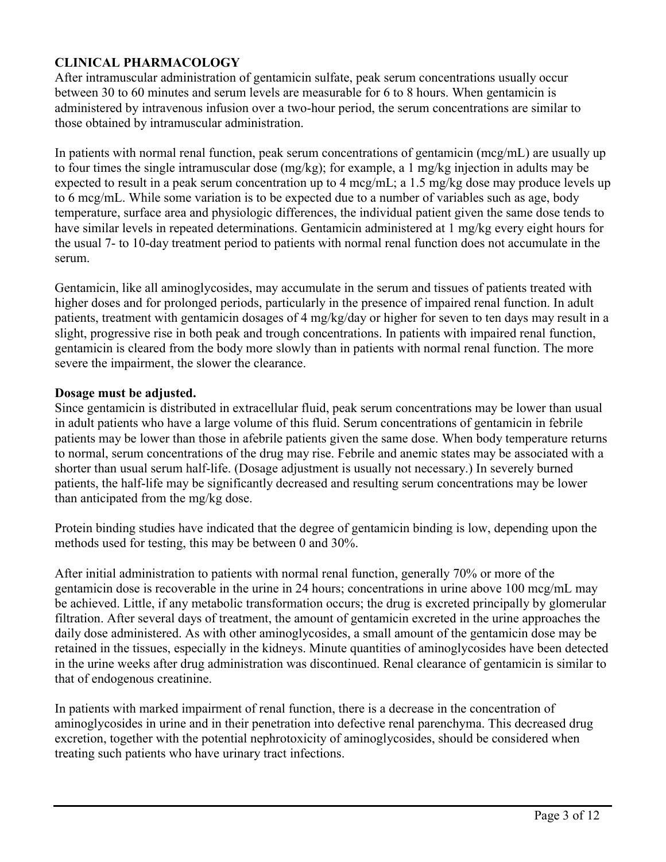# **CLINICAL PHARMACOLOGY**

After intramuscular administration of gentamicin sulfate, peak serum concentrations usually occur between 30 to 60 minutes and serum levels are measurable for 6 to 8 hours. When gentamicin is administered by intravenous infusion over a two-hour period, the serum concentrations are similar to those obtained by intramuscular administration.

In patients with normal renal function, peak serum concentrations of gentamicin (mcg/mL) are usually up to four times the single intramuscular dose (mg/kg); for example, a 1 mg/kg injection in adults may be expected to result in a peak serum concentration up to 4 mcg/mL; a 1.5 mg/kg dose may produce levels up to 6 mcg/mL. While some variation is to be expected due to a number of variables such as age, body temperature, surface area and physiologic differences, the individual patient given the same dose tends to have similar levels in repeated determinations. Gentamicin administered at 1 mg/kg every eight hours for the usual 7- to 10-day treatment period to patients with normal renal function does not accumulate in the serum.

Gentamicin, like all aminoglycosides, may accumulate in the serum and tissues of patients treated with higher doses and for prolonged periods, particularly in the presence of impaired renal function. In adult patients, treatment with gentamicin dosages of 4 mg/kg/day or higher for seven to ten days may result in a slight, progressive rise in both peak and trough concentrations. In patients with impaired renal function, gentamicin is cleared from the body more slowly than in patients with normal renal function. The more severe the impairment, the slower the clearance.

#### **Dosage must be adjusted.**

Since gentamicin is distributed in extracellular fluid, peak serum concentrations may be lower than usual in adult patients who have a large volume of this fluid. Serum concentrations of gentamicin in febrile patients may be lower than those in afebrile patients given the same dose. When body temperature returns to normal, serum concentrations of the drug may rise. Febrile and anemic states may be associated with a shorter than usual serum half-life. (Dosage adjustment is usually not necessary.) In severely burned patients, the half-life may be significantly decreased and resulting serum concentrations may be lower than anticipated from the mg/kg dose.

Protein binding studies have indicated that the degree of gentamicin binding is low, depending upon the methods used for testing, this may be between 0 and 30%.

After initial administration to patients with normal renal function, generally 70% or more of the gentamicin dose is recoverable in the urine in 24 hours; concentrations in urine above 100 mcg/mL may be achieved. Little, if any metabolic transformation occurs; the drug is excreted principally by glomerular filtration. After several days of treatment, the amount of gentamicin excreted in the urine approaches the daily dose administered. As with other aminoglycosides, a small amount of the gentamicin dose may be retained in the tissues, especially in the kidneys. Minute quantities of aminoglycosides have been detected in the urine weeks after drug administration was discontinued. Renal clearance of gentamicin is similar to that of endogenous creatinine.

In patients with marked impairment of renal function, there is a decrease in the concentration of aminoglycosides in urine and in their penetration into defective renal parenchyma. This decreased drug excretion, together with the potential nephrotoxicity of aminoglycosides, should be considered when treating such patients who have urinary tract infections.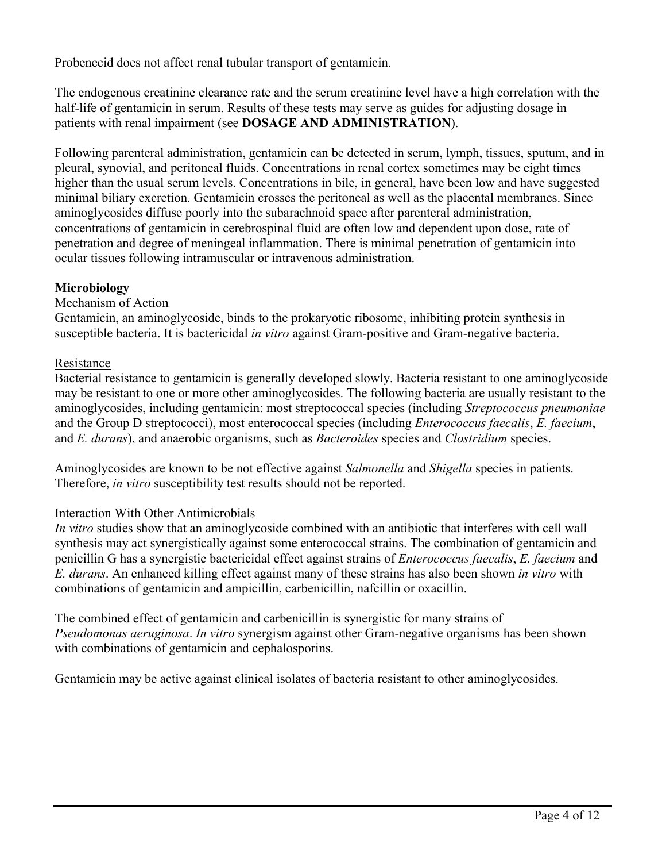Probenecid does not affect renal tubular transport of gentamicin.

The endogenous creatinine clearance rate and the serum creatinine level have a high correlation with the half-life of gentamicin in serum. Results of these tests may serve as guides for adjusting dosage in patients with renal impairment (see **DOSAGE AND ADMINISTRATION**).

Following parenteral administration, gentamicin can be detected in serum, lymph, tissues, sputum, and in pleural, synovial, and peritoneal fluids. Concentrations in renal cortex sometimes may be eight times higher than the usual serum levels. Concentrations in bile, in general, have been low and have suggested minimal biliary excretion. Gentamicin crosses the peritoneal as well as the placental membranes. Since aminoglycosides diffuse poorly into the subarachnoid space after parenteral administration, concentrations of gentamicin in cerebrospinal fluid are often low and dependent upon dose, rate of penetration and degree of meningeal inflammation. There is minimal penetration of gentamicin into ocular tissues following intramuscular or intravenous administration.

### **Microbiology**

### Mechanism of Action

Gentamicin, an aminoglycoside, binds to the prokaryotic ribosome, inhibiting protein synthesis in susceptible bacteria. It is bactericidal *in vitro* against Gram-positive and Gram-negative bacteria.

### Resistance

Bacterial resistance to gentamicin is generally developed slowly. Bacteria resistant to one aminoglycoside may be resistant to one or more other aminoglycosides. The following bacteria are usually resistant to the aminoglycosides, including gentamicin: most streptococcal species (including *Streptococcus pneumoniae* and the Group D streptococci), most enterococcal species (including *Enterococcus faecalis*, *E. faecium*, and *E. durans*), and anaerobic organisms, such as *Bacteroides* species and *Clostridium* species.

Aminoglycosides are known to be not effective against *Salmonella* and *Shigella* species in patients. Therefore, *in vitro* susceptibility test results should not be reported.

### Interaction With Other Antimicrobials

*In vitro* studies show that an aminoglycoside combined with an antibiotic that interferes with cell wall synthesis may act synergistically against some enterococcal strains. The combination of gentamicin and penicillin G has a synergistic bactericidal effect against strains of *Enterococcus faecalis*, *E. faecium* and *E. durans*. An enhanced killing effect against many of these strains has also been shown *in vitro* with combinations of gentamicin and ampicillin, carbenicillin, nafcillin or oxacillin.

The combined effect of gentamicin and carbenicillin is synergistic for many strains of *Pseudomonas aeruginosa*. *In vitro* synergism against other Gram-negative organisms has been shown with combinations of gentamicin and cephalosporins.

Gentamicin may be active against clinical isolates of bacteria resistant to other aminoglycosides.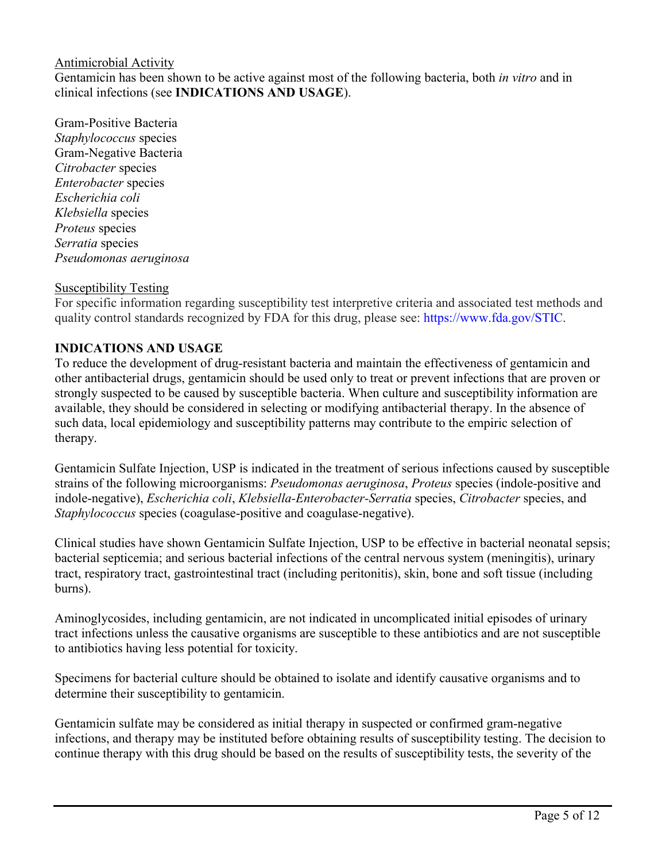### Antimicrobial Activity

Gentamicin has been shown to be active against most of the following bacteria, both *in vitro* and in clinical infections (see **INDICATIONS AND USAGE**).

Gram-Positive Bacteria *Staphylococcus* species Gram-Negative Bacteria *Citrobacter* species *Enterobacter* species *Escherichia coli Klebsiella* species *Proteus* species *Serratia* species *Pseudomonas aeruginosa*

#### Susceptibility Testing

For specific information regarding susceptibility test interpretive criteria and associated test methods and quality control standards recognized by FDA for this drug, please see: [https://www.fda.gov/STIC.](https://www.fda.gov/STIC)

### **INDICATIONS AND USAGE**

To reduce the development of drug-resistant bacteria and maintain the effectiveness of gentamicin and other antibacterial drugs, gentamicin should be used only to treat or prevent infections that are proven or strongly suspected to be caused by susceptible bacteria. When culture and susceptibility information are available, they should be considered in selecting or modifying antibacterial therapy. In the absence of such data, local epidemiology and susceptibility patterns may contribute to the empiric selection of therapy.

Gentamicin Sulfate Injection, USP is indicated in the treatment of serious infections caused by susceptible strains of the following microorganisms: *Pseudomonas aeruginosa*, *Proteus* species (indole-positive and indole-negative), *Escherichia coli*, *Klebsiella-Enterobacter-Serratia* species, *Citrobacter* species, and *Staphylococcus* species (coagulase-positive and coagulase-negative).

Clinical studies have shown Gentamicin Sulfate Injection, USP to be effective in bacterial neonatal sepsis; bacterial septicemia; and serious bacterial infections of the central nervous system (meningitis), urinary tract, respiratory tract, gastrointestinal tract (including peritonitis), skin, bone and soft tissue (including burns).

Aminoglycosides, including gentamicin, are not indicated in uncomplicated initial episodes of urinary tract infections unless the causative organisms are susceptible to these antibiotics and are not susceptible to antibiotics having less potential for toxicity.

Specimens for bacterial culture should be obtained to isolate and identify causative organisms and to determine their susceptibility to gentamicin.

Gentamicin sulfate may be considered as initial therapy in suspected or confirmed gram-negative infections, and therapy may be instituted before obtaining results of susceptibility testing. The decision to continue therapy with this drug should be based on the results of susceptibility tests, the severity of the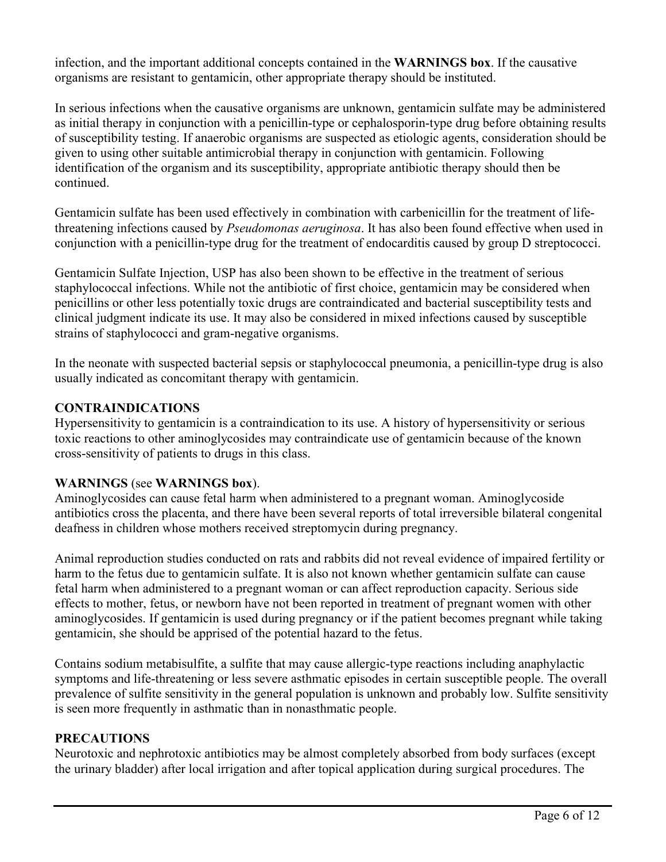infection, and the important additional concepts contained in the **WARNINGS box**. If the causative organisms are resistant to gentamicin, other appropriate therapy should be instituted.

In serious infections when the causative organisms are unknown, gentamicin sulfate may be administered as initial therapy in conjunction with a penicillin-type or cephalosporin-type drug before obtaining results of susceptibility testing. If anaerobic organisms are suspected as etiologic agents, consideration should be given to using other suitable antimicrobial therapy in conjunction with gentamicin. Following identification of the organism and its susceptibility, appropriate antibiotic therapy should then be continued.

Gentamicin sulfate has been used effectively in combination with carbenicillin for the treatment of lifethreatening infections caused by *Pseudomonas aeruginosa*. It has also been found effective when used in conjunction with a penicillin-type drug for the treatment of endocarditis caused by group D streptococci.

Gentamicin Sulfate Injection, USP has also been shown to be effective in the treatment of serious staphylococcal infections. While not the antibiotic of first choice, gentamicin may be considered when penicillins or other less potentially toxic drugs are contraindicated and bacterial susceptibility tests and clinical judgment indicate its use. It may also be considered in mixed infections caused by susceptible strains of staphylococci and gram-negative organisms.

In the neonate with suspected bacterial sepsis or staphylococcal pneumonia, a penicillin-type drug is also usually indicated as concomitant therapy with gentamicin.

# **CONTRAINDICATIONS**

Hypersensitivity to gentamicin is a contraindication to its use. A history of hypersensitivity or serious toxic reactions to other aminoglycosides may contraindicate use of gentamicin because of the known cross-sensitivity of patients to drugs in this class.

# **WARNINGS** (see **WARNINGS box**).

Aminoglycosides can cause fetal harm when administered to a pregnant woman. Aminoglycoside antibiotics cross the placenta, and there have been several reports of total irreversible bilateral congenital deafness in children whose mothers received streptomycin during pregnancy.

Animal reproduction studies conducted on rats and rabbits did not reveal evidence of impaired fertility or harm to the fetus due to gentamicin sulfate. It is also not known whether gentamicin sulfate can cause fetal harm when administered to a pregnant woman or can affect reproduction capacity. Serious side effects to mother, fetus, or newborn have not been reported in treatment of pregnant women with other aminoglycosides. If gentamicin is used during pregnancy or if the patient becomes pregnant while taking gentamicin, she should be apprised of the potential hazard to the fetus.

Contains sodium metabisulfite, a sulfite that may cause allergic-type reactions including anaphylactic symptoms and life-threatening or less severe asthmatic episodes in certain susceptible people. The overall prevalence of sulfite sensitivity in the general population is unknown and probably low. Sulfite sensitivity is seen more frequently in asthmatic than in nonasthmatic people.

# **PRECAUTIONS**

Neurotoxic and nephrotoxic antibiotics may be almost completely absorbed from body surfaces (except the urinary bladder) after local irrigation and after topical application during surgical procedures. The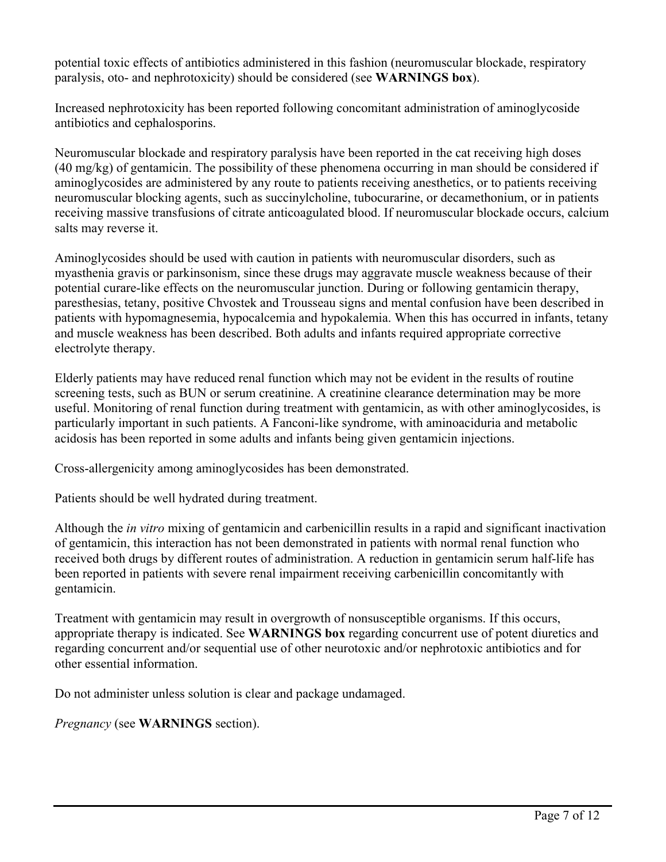potential toxic effects of antibiotics administered in this fashion (neuromuscular blockade, respiratory paralysis, oto- and nephrotoxicity) should be considered (see **WARNINGS box**).

Increased nephrotoxicity has been reported following concomitant administration of aminoglycoside antibiotics and cephalosporins.

Neuromuscular blockade and respiratory paralysis have been reported in the cat receiving high doses (40 mg/kg) of gentamicin. The possibility of these phenomena occurring in man should be considered if aminoglycosides are administered by any route to patients receiving anesthetics, or to patients receiving neuromuscular blocking agents, such as succinylcholine, tubocurarine, or decamethonium, or in patients receiving massive transfusions of citrate anticoagulated blood. If neuromuscular blockade occurs, calcium salts may reverse it.

Aminoglycosides should be used with caution in patients with neuromuscular disorders, such as myasthenia gravis or parkinsonism, since these drugs may aggravate muscle weakness because of their potential curare-like effects on the neuromuscular junction. During or following gentamicin therapy, paresthesias, tetany, positive Chvostek and Trousseau signs and mental confusion have been described in patients with hypomagnesemia, hypocalcemia and hypokalemia. When this has occurred in infants, tetany and muscle weakness has been described. Both adults and infants required appropriate corrective electrolyte therapy.

Elderly patients may have reduced renal function which may not be evident in the results of routine screening tests, such as BUN or serum creatinine. A creatinine clearance determination may be more useful. Monitoring of renal function during treatment with gentamicin, as with other aminoglycosides, is particularly important in such patients. A Fanconi-like syndrome, with aminoaciduria and metabolic acidosis has been reported in some adults and infants being given gentamicin injections.

Cross-allergenicity among aminoglycosides has been demonstrated.

Patients should be well hydrated during treatment.

Although the *in vitro* mixing of gentamicin and carbenicillin results in a rapid and significant inactivation of gentamicin, this interaction has not been demonstrated in patients with normal renal function who received both drugs by different routes of administration. A reduction in gentamicin serum half-life has been reported in patients with severe renal impairment receiving carbenicillin concomitantly with gentamicin.

Treatment with gentamicin may result in overgrowth of nonsusceptible organisms. If this occurs, appropriate therapy is indicated. See **WARNINGS box** regarding concurrent use of potent diuretics and regarding concurrent and/or sequential use of other neurotoxic and/or nephrotoxic antibiotics and for other essential information.

Do not administer unless solution is clear and package undamaged.

*Pregnancy* (see **WARNINGS** section).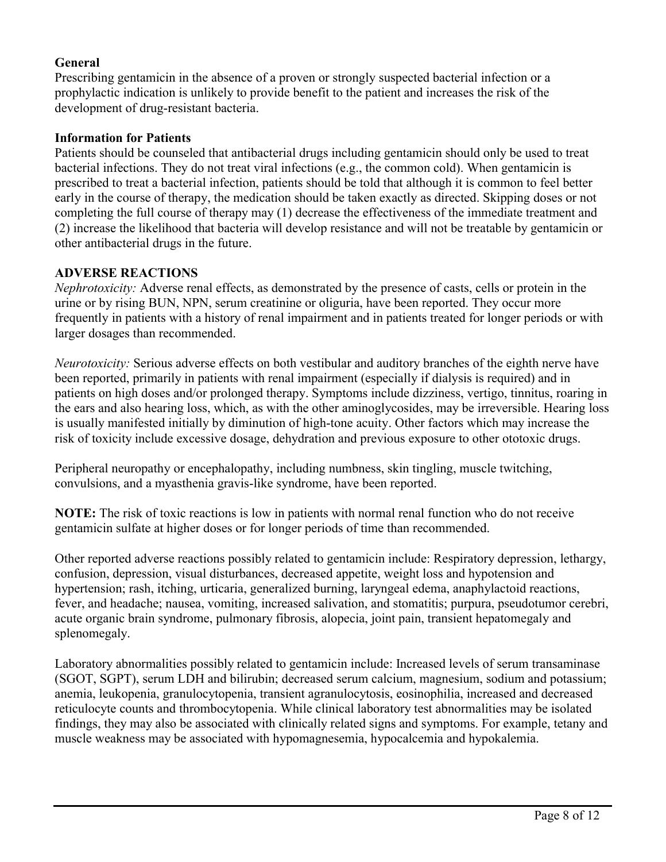# **General**

Prescribing gentamicin in the absence of a proven or strongly suspected bacterial infection or a prophylactic indication is unlikely to provide benefit to the patient and increases the risk of the development of drug-resistant bacteria.

### **Information for Patients**

Patients should be counseled that antibacterial drugs including gentamicin should only be used to treat bacterial infections. They do not treat viral infections (e.g., the common cold). When gentamicin is prescribed to treat a bacterial infection, patients should be told that although it is common to feel better early in the course of therapy, the medication should be taken exactly as directed. Skipping doses or not completing the full course of therapy may (1) decrease the effectiveness of the immediate treatment and (2) increase the likelihood that bacteria will develop resistance and will not be treatable by gentamicin or other antibacterial drugs in the future.

### **ADVERSE REACTIONS**

*Nephrotoxicity:* Adverse renal effects, as demonstrated by the presence of casts, cells or protein in the urine or by rising BUN, NPN, serum creatinine or oliguria, have been reported. They occur more frequently in patients with a history of renal impairment and in patients treated for longer periods or with larger dosages than recommended.

*Neurotoxicity:* Serious adverse effects on both vestibular and auditory branches of the eighth nerve have been reported, primarily in patients with renal impairment (especially if dialysis is required) and in patients on high doses and/or prolonged therapy. Symptoms include dizziness, vertigo, tinnitus, roaring in the ears and also hearing loss, which, as with the other aminoglycosides, may be irreversible. Hearing loss is usually manifested initially by diminution of high-tone acuity. Other factors which may increase the risk of toxicity include excessive dosage, dehydration and previous exposure to other ototoxic drugs.

Peripheral neuropathy or encephalopathy, including numbness, skin tingling, muscle twitching, convulsions, and a myasthenia gravis-like syndrome, have been reported.

**NOTE:** The risk of toxic reactions is low in patients with normal renal function who do not receive gentamicin sulfate at higher doses or for longer periods of time than recommended.

Other reported adverse reactions possibly related to gentamicin include: Respiratory depression, lethargy, confusion, depression, visual disturbances, decreased appetite, weight loss and hypotension and hypertension; rash, itching, urticaria, generalized burning, laryngeal edema, anaphylactoid reactions, fever, and headache; nausea, vomiting, increased salivation, and stomatitis; purpura, pseudotumor cerebri, acute organic brain syndrome, pulmonary fibrosis, alopecia, joint pain, transient hepatomegaly and splenomegaly.

Laboratory abnormalities possibly related to gentamicin include: Increased levels of serum transaminase (SGOT, SGPT), serum LDH and bilirubin; decreased serum calcium, magnesium, sodium and potassium; anemia, leukopenia, granulocytopenia, transient agranulocytosis, eosinophilia, increased and decreased reticulocyte counts and thrombocytopenia. While clinical laboratory test abnormalities may be isolated findings, they may also be associated with clinically related signs and symptoms. For example, tetany and muscle weakness may be associated with hypomagnesemia, hypocalcemia and hypokalemia.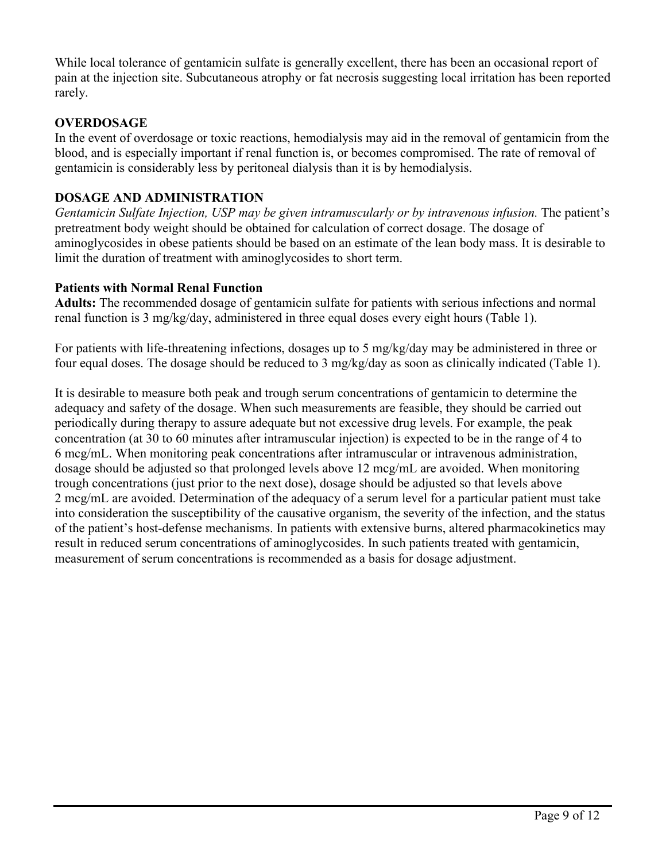While local tolerance of gentamicin sulfate is generally excellent, there has been an occasional report of pain at the injection site. Subcutaneous atrophy or fat necrosis suggesting local irritation has been reported rarely.

# **OVERDOSAGE**

In the event of overdosage or toxic reactions, hemodialysis may aid in the removal of gentamicin from the blood, and is especially important if renal function is, or becomes compromised. The rate of removal of gentamicin is considerably less by peritoneal dialysis than it is by hemodialysis.

# **DOSAGE AND ADMINISTRATION**

*Gentamicin Sulfate Injection, USP may be given intramuscularly or by intravenous infusion.* The patient's pretreatment body weight should be obtained for calculation of correct dosage. The dosage of aminoglycosides in obese patients should be based on an estimate of the lean body mass. It is desirable to limit the duration of treatment with aminoglycosides to short term.

### **Patients with Normal Renal Function**

**Adults:** The recommended dosage of gentamicin sulfate for patients with serious infections and normal renal function is 3 mg/kg/day, administered in three equal doses every eight hours (Table 1).

For patients with life-threatening infections, dosages up to 5 mg/kg/day may be administered in three or four equal doses. The dosage should be reduced to 3 mg/kg/day as soon as clinically indicated (Table 1).

It is desirable to measure both peak and trough serum concentrations of gentamicin to determine the adequacy and safety of the dosage. When such measurements are feasible, they should be carried out periodically during therapy to assure adequate but not excessive drug levels. For example, the peak concentration (at 30 to 60 minutes after intramuscular injection) is expected to be in the range of 4 to 6 mcg/mL. When monitoring peak concentrations after intramuscular or intravenous administration, dosage should be adjusted so that prolonged levels above 12 mcg/mL are avoided. When monitoring trough concentrations (just prior to the next dose), dosage should be adjusted so that levels above 2 mcg/mL are avoided. Determination of the adequacy of a serum level for a particular patient must take into consideration the susceptibility of the causative organism, the severity of the infection, and the status of the patient's host-defense mechanisms. In patients with extensive burns, altered pharmacokinetics may result in reduced serum concentrations of aminoglycosides. In such patients treated with gentamicin, measurement of serum concentrations is recommended as a basis for dosage adjustment.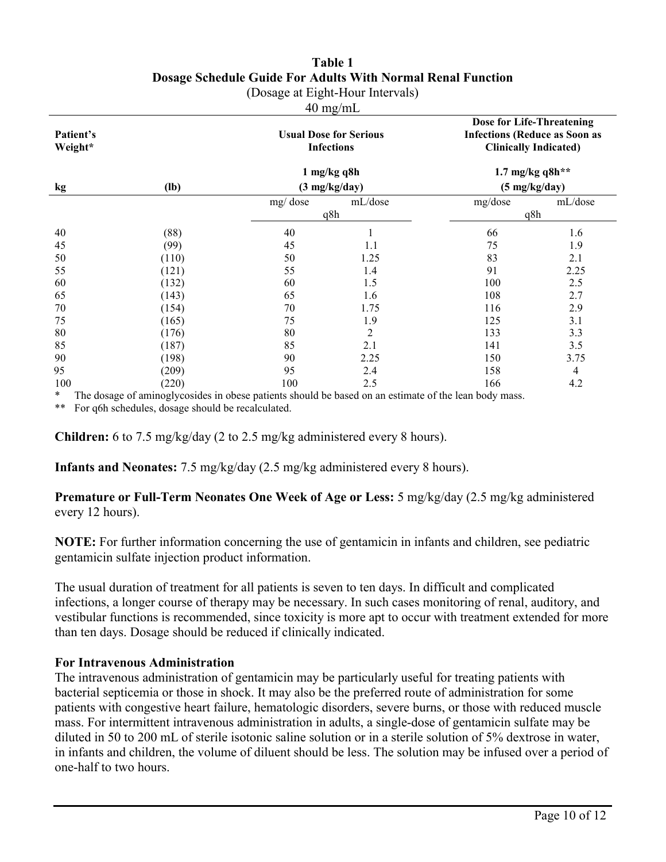#### **Table 1 Dosage Schedule Guide For Adults With Normal Renal Function** (Dosage at Eight-Hour Intervals)

|  | ge at Eignt-Hour inte |  |  |
|--|-----------------------|--|--|
|  | $40 \text{ mo/mL}$    |  |  |

|                      |        |                                                    | $\sim$ $\mu$ <sub>2</sub> $\mu$ |                                                                                                          |         |
|----------------------|--------|----------------------------------------------------|---------------------------------|----------------------------------------------------------------------------------------------------------|---------|
| Patient's<br>Weight* |        | <b>Usual Dose for Serious</b><br><b>Infections</b> |                                 | <b>Dose for Life-Threatening</b><br><b>Infections (Reduce as Soon as</b><br><b>Clinically Indicated)</b> |         |
|                      |        | $1$ mg/kg q8h                                      |                                 | 1.7 mg/kg $q8h**$                                                                                        |         |
| kg                   | $(lb)$ | $(3 \text{ mg/kg/day})$                            |                                 | $(5 \text{ mg/kg/day})$                                                                                  |         |
|                      |        | mg/dose                                            | mL/dose                         | mg/dose                                                                                                  | mL/dose |
|                      |        | q8h                                                |                                 | q8h                                                                                                      |         |
| 40                   | (88)   | 40                                                 |                                 | 66                                                                                                       | 1.6     |
| 45                   | (99)   | 45                                                 | 1.1                             | 75                                                                                                       | 1.9     |
| 50                   | (110)  | 50                                                 | 1.25                            | 83                                                                                                       | 2.1     |
| 55                   | (121)  | 55                                                 | 1.4                             | 91                                                                                                       | 2.25    |
| 60                   | (132)  | 60                                                 | 1.5                             | 100                                                                                                      | 2.5     |
| 65                   | (143)  | 65                                                 | 1.6                             | 108                                                                                                      | 2.7     |
| 70                   | (154)  | 70                                                 | 1.75                            | 116                                                                                                      | 2.9     |
| 75                   | (165)  | 75                                                 | 1.9                             | 125                                                                                                      | 3.1     |
| 80                   | (176)  | 80                                                 | $\overline{2}$                  | 133                                                                                                      | 3.3     |
| 85                   | (187)  | 85                                                 | 2.1                             | 141                                                                                                      | 3.5     |
| 90                   | (198)  | 90                                                 | 2.25                            | 150                                                                                                      | 3.75    |
| 95                   | (209)  | 95                                                 | 2.4                             | 158                                                                                                      | 4       |
| 100                  | (220)  | 100                                                | 2.5                             | 166                                                                                                      | 4.2     |

\* The dosage of aminoglycosides in obese patients should be based on an estimate of the lean body mass.<br>\*\* For o6b schedules, dosage should be recalculated.

For q6h schedules, dosage should be recalculated.

**Children:** 6 to 7.5 mg/kg/day (2 to 2.5 mg/kg administered every 8 hours).

**Infants and Neonates:** 7.5 mg/kg/day (2.5 mg/kg administered every 8 hours).

**Premature or Full-Term Neonates One Week of Age or Less:** 5 mg/kg/day (2.5 mg/kg administered every 12 hours).

**NOTE:** For further information concerning the use of gentamicin in infants and children, see pediatric gentamicin sulfate injection product information.

The usual duration of treatment for all patients is seven to ten days. In difficult and complicated infections, a longer course of therapy may be necessary. In such cases monitoring of renal, auditory, and vestibular functions is recommended, since toxicity is more apt to occur with treatment extended for more than ten days. Dosage should be reduced if clinically indicated.

### **For Intravenous Administration**

The intravenous administration of gentamicin may be particularly useful for treating patients with bacterial septicemia or those in shock. It may also be the preferred route of administration for some patients with congestive heart failure, hematologic disorders, severe burns, or those with reduced muscle mass. For intermittent intravenous administration in adults, a single-dose of gentamicin sulfate may be diluted in 50 to 200 mL of sterile isotonic saline solution or in a sterile solution of 5% dextrose in water, in infants and children, the volume of diluent should be less. The solution may be infused over a period of one-half to two hours.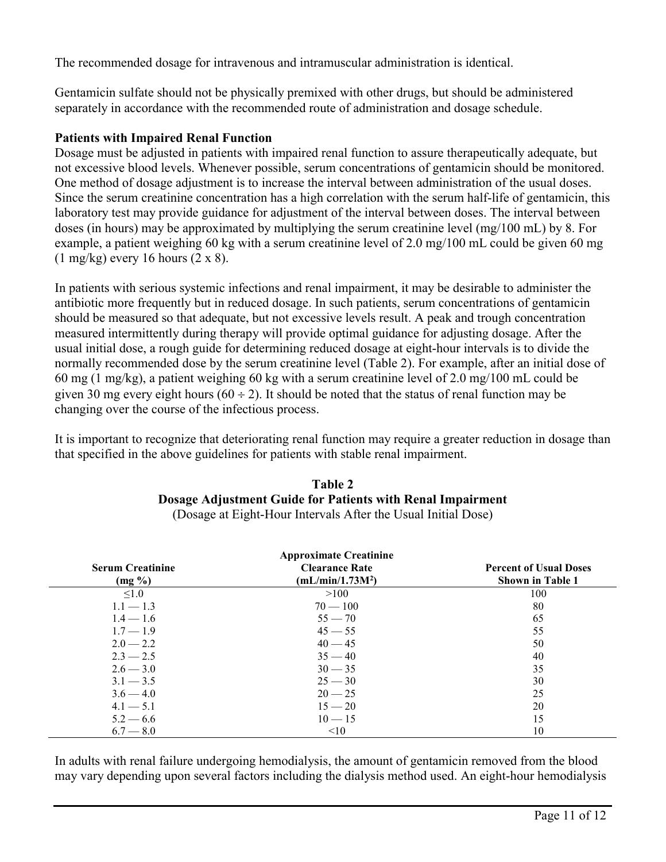The recommended dosage for intravenous and intramuscular administration is identical.

Gentamicin sulfate should not be physically premixed with other drugs, but should be administered separately in accordance with the recommended route of administration and dosage schedule.

# **Patients with Impaired Renal Function**

Dosage must be adjusted in patients with impaired renal function to assure therapeutically adequate, but not excessive blood levels. Whenever possible, serum concentrations of gentamicin should be monitored. One method of dosage adjustment is to increase the interval between administration of the usual doses. Since the serum creatinine concentration has a high correlation with the serum half-life of gentamicin, this laboratory test may provide guidance for adjustment of the interval between doses. The interval between doses (in hours) may be approximated by multiplying the serum creatinine level (mg/100 mL) by 8. For example, a patient weighing 60 kg with a serum creatinine level of 2.0 mg/100 mL could be given 60 mg  $(1 \text{ mg/kg})$  every 16 hours  $(2 \text{ x } 8)$ .

In patients with serious systemic infections and renal impairment, it may be desirable to administer the antibiotic more frequently but in reduced dosage. In such patients, serum concentrations of gentamicin should be measured so that adequate, but not excessive levels result. A peak and trough concentration measured intermittently during therapy will provide optimal guidance for adjusting dosage. After the usual initial dose, a rough guide for determining reduced dosage at eight-hour intervals is to divide the normally recommended dose by the serum creatinine level (Table 2). For example, after an initial dose of 60 mg (1 mg/kg), a patient weighing 60 kg with a serum creatinine level of 2.0 mg/100 mL could be given 30 mg every eight hours ( $60 \div 2$ ). It should be noted that the status of renal function may be changing over the course of the infectious process.

It is important to recognize that deteriorating renal function may require a greater reduction in dosage than that specified in the above guidelines for patients with stable renal impairment.

| <b>Serum Creatinine</b><br>$\left(\frac{\text{mg}}{\text{}}\,\% \right)$ | <b>Approximate Creatinine</b><br><b>Clearance Rate</b><br>(mL/min/1.73M <sup>2</sup> ) | <b>Percent of Usual Doses</b><br><b>Shown in Table 1</b> |
|--------------------------------------------------------------------------|----------------------------------------------------------------------------------------|----------------------------------------------------------|
| $\leq 1.0$                                                               | >100                                                                                   | 100                                                      |
| $1.1 - 1.3$                                                              | $70 - 100$                                                                             | 80                                                       |
| $1.4 - 1.6$                                                              | $55 - 70$                                                                              | 65                                                       |
| $1.7 - 1.9$                                                              | $45 - 55$                                                                              | 55                                                       |
| $2.0 - 2.2$                                                              | $40 - 45$                                                                              | 50                                                       |
| $2.3 - 2.5$                                                              | $35 - 40$                                                                              | 40                                                       |
| $2.6 - 3.0$                                                              | $30 - 35$                                                                              | 35                                                       |
| $3.1 - 3.5$                                                              | $25 - 30$                                                                              | 30                                                       |
| $3.6 - 4.0$                                                              | $20 - 25$                                                                              | 25                                                       |
| $4.1 - 5.1$                                                              | $15 - 20$                                                                              | 20                                                       |
| $5.2 - 6.6$                                                              | $10 - 15$                                                                              | 15                                                       |
| $6.7 - 8.0$                                                              | <10                                                                                    | 10                                                       |

#### **Table 2 Dosage Adjustment Guide for Patients with Renal Impairment** (Dosage at Eight-Hour Intervals After the Usual Initial Dose)

In adults with renal failure undergoing hemodialysis, the amount of gentamicin removed from the blood may vary depending upon several factors including the dialysis method used. An eight-hour hemodialysis